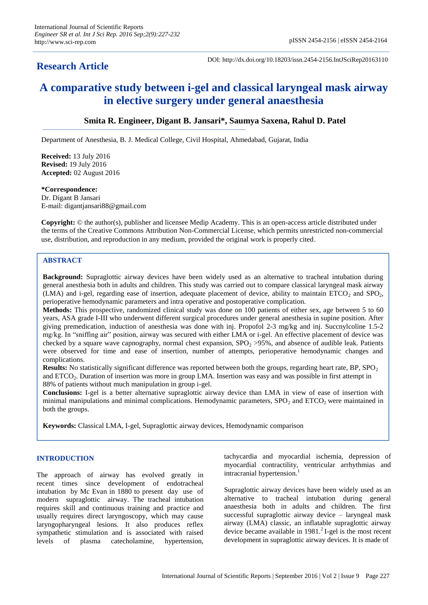DOI: http://dx.doi.org/10.18203/issn.2454-2156.IntJSciRep20163110

# **A comparative study between i-gel and classical laryngeal mask airway in elective surgery under general anaesthesia**

## **Smita R. Engineer, Digant B. Jansari\*, Saumya Saxena, Rahul D. Patel**

Department of Anesthesia, B. J. Medical College, Civil Hospital, Ahmedabad, Gujarat, India

**Received:** 13 July 2016 **Revised:** 19 July 2016 **Accepted:** 02 August 2016

#### **\*Correspondence:**

Dr. Digant B Jansari E-mail: digantjansari88@gmail.com

**Copyright:** © the author(s), publisher and licensee Medip Academy. This is an open-access article distributed under the terms of the Creative Commons Attribution Non-Commercial License, which permits unrestricted non-commercial use, distribution, and reproduction in any medium, provided the original work is properly cited.

## **ABSTRACT**

**Background:** Supraglottic airway devices have been widely used as an alternative to tracheal intubation during general anesthesia both in adults and children. This study was carried out to compare classical laryngeal mask airway (LMA) and i-gel, regarding ease of insertion, adequate placement of device, ability to maintain ETCO<sub>2</sub> and SPO<sub>2</sub>, perioperative hemodynamic parameters and intra operative and postoperative complication.

**Methods:** This prospective, randomized clinical study was done on 100 patients of either sex, age between 5 to 60 years, ASA grade I-III who underwent different surgical procedures under general anesthesia in supine position. After giving premedication, induction of anesthesia was done with inj. Propofol 2-3 mg/kg and inj. Succnylcoline 1.5-2 mg/kg. In "sniffing air" position, airway was secured with either LMA or i-gel. An effective placement of device was checked by a square wave capnography, normal chest expansion,  $SPO<sub>2</sub> >95$ %, and absence of audible leak. Patients were observed for time and ease of insertion, number of attempts, perioperative hemodynamic changes and complications.

**Results:** No statistically significant difference was reported between both the groups, regarding heart rate, BP, SPO<sub>2</sub> and ETCO<sub>2</sub>. Duration of insertion was more in group LMA. Insertion was easy and was possible in first attempt in 88% of patients without much manipulation in group i-gel.

**Conclusions:** I-gel is a better alternative supraglottic airway device than LMA in view of ease of insertion with minimal manipulations and minimal complications. Hemodynamic parameters,  $SPO<sub>2</sub>$  and  $ETCO<sub>2</sub>$  were maintained in both the groups.

**Keywords:** Classical LMA, I-gel, Supraglottic airway devices, Hemodynamic comparison

## **INTRODUCTION**

The approach of airway has evolved greatly in recent times since development of endotracheal intubation by Mc Evan in 1880 to present day use of modern supraglottic airway. The tracheal intubation requires skill and continuous training and practice and usually requires direct laryngoscopy, which may cause laryngopharyngeal lesions. It also produces reflex sympathetic stimulation and is associated with raised levels of plasma catecholamine, hypertension,

tachycardia and myocardial ischemia, depression of myocardial contractility, ventricular arrhythmias and intracranial hypertension.<sup>1</sup>

Supraglottic airway devices have been widely used as an alternative to tracheal intubation during general anaesthesia both in adults and children. The first successful supraglottic airway device – laryngeal mask airway (LMA) classic, an inflatable supraglottic airway device became available in 1981.<sup>2</sup> I-gel is the most recent development in supraglottic airway devices. It is made of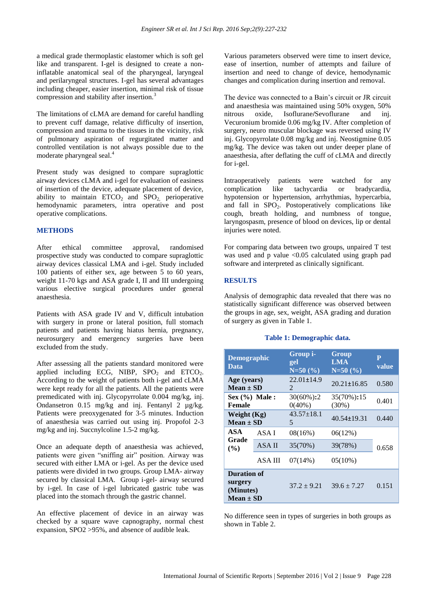a medical grade thermoplastic elastomer which is soft gel like and transparent. I-gel is designed to create a noninflatable anatomical seal of the pharyngeal, laryngeal and perilaryngeal structures. I-gel has several advantages including cheaper, easier insertion, minimal risk of tissue compression and stability after insertion.<sup>3</sup>

The limitations of cLMA are demand for careful handling to prevent cuff damage, relative difficulty of insertion, compression and trauma to the tissues in the vicinity, risk of pulmonary aspiration of regurgitated matter and controlled ventilation is not always possible due to the moderate pharyngeal seal.<sup>4</sup>

Present study was designed to compare supraglottic airway devices cLMA and i-gel for evaluation of easiness of insertion of the device, adequate placement of device, ability to maintain  $ETCO<sub>2</sub>$  and  $SPO<sub>2</sub>$  perioperative hemodynamic parameters, intra operative and post operative complications.

## **METHODS**

After ethical committee approval, randomised prospective study was conducted to compare supraglottic airway devices classical LMA and i-gel. Study included 100 patients of either sex, age between 5 to 60 years, weight 11-70 kgs and ASA grade I, II and III undergoing various elective surgical procedures under general anaesthesia.

Patients with ASA grade IV and V, difficult intubation with surgery in prone or lateral position, full stomach patients and patients having hiatus hernia, pregnancy, neurosurgery and emergency surgeries have been excluded from the study.

After assessing all the patients standard monitored were applied including ECG, NIBP,  $SPO<sub>2</sub>$  and  $ETCO<sub>2</sub>$ . According to the weight of patients both i-gel and cLMA were kept ready for all the patients. All the patients were premedicated with inj. Glycopyrrolate 0.004 mg/kg, inj. Ondansetron 0.15 mg/kg and inj. Fentanyl 2 µg/kg. Patients were preoxygenated for 3-5 minutes. Induction of anaesthesia was carried out using inj. Propofol 2-3 mg/kg and inj. Succnylcoline 1.5-2 mg/kg.

Once an adequate depth of anaesthesia was achieved, patients were given "sniffing air" position. Airway was secured with either LMA or i-gel. As per the device used patients were divided in two groups. Group LMA- airway secured by classical LMA. Group i-gel- airway secured by i-gel. In case of i-gel lubricated gastric tube was placed into the stomach through the gastric channel.

An effective placement of device in an airway was checked by a square wave capnography, normal chest expansion, SPO2 >95%, and absence of audible leak.

Various parameters observed were time to insert device, ease of insertion, number of attempts and failure of insertion and need to change of device, hemodynamic changes and complication during insertion and removal.

The device was connected to a Bain's circuit or JR circuit and anaesthesia was maintained using 50% oxygen, 50% nitrous oxide, Isoflurane**/**Sevoflurane and inj. Vecuronium bromide 0.06 mg/kg IV. After completion of surgery, neuro muscular blockage was reversed using IV inj. Glycopyrrolate 0.08 mg/kg and inj. Neostigmine 0.05 mg/kg. The device was taken out under deeper plane of anaesthesia, after deflating the cuff of cLMA and directly for i-gel.

Intraoperatively patients were watched for any complication like tachycardia or bradycardia, hypotension or hypertension, arrhythmias, hypercarbia, and fall in  $SPO<sub>2</sub>$ . Postoperatively complications like cough, breath holding, and numbness of tongue, laryngospasm, presence of blood on devices, lip or dental injuries were noted.

For comparing data between two groups, unpaired T test was used and p value <0.05 calculated using graph pad software and interpreted as clinically significant.

## **RESULTS**

Analysis of demographic data revealed that there was no statistically significant difference was observed between the groups in age, sex, weight, ASA grading and duration of surgery as given in Table 1.

#### **Table 1: Demographic data.**

| <b>Demographic</b><br>Data            |         | Group i-<br>gel<br>$N=50(%)$              | Group<br>LMA<br>$N=50(%)$ | $\mathbf{P}$<br>value |  |
|---------------------------------------|---------|-------------------------------------------|---------------------------|-----------------------|--|
| Age (years)<br>$Mean \pm SD$          |         | 22.01±14.9<br>$\mathcal{D}_{\mathcal{L}}$ | $20.21 \pm 16.85$         | 0.580                 |  |
| $Sex (%)$ Male:<br><b>Female</b>      |         | 30(60%):2<br>$0(40\%)$                    | 35(70%):15<br>$(30\%)$    | 0.401                 |  |
| Weight (Kg)<br>$Mean \pm SD$          |         | $43.57 \pm 18.1$<br>5                     | $40.54 \pm 19.31$         | 0.440                 |  |
| ASA<br>Grade<br>(%)                   | ASA I   | 08(16%)                                   | 06(12%)                   |                       |  |
|                                       | ASA II  | 35(70%)                                   | 39(78%)                   | 0.658                 |  |
|                                       | ASA III | 07(14%)                                   | $05(10\%)$                |                       |  |
| <b>Duration of</b>                    |         |                                           |                           |                       |  |
| surgery<br>(Minutes)<br>$Mean \pm SD$ |         | $37.2 \pm 9.21$                           | $39.6 \pm 7.27$           | 0.151                 |  |

No difference seen in types of surgeries in both groups as shown in Table 2.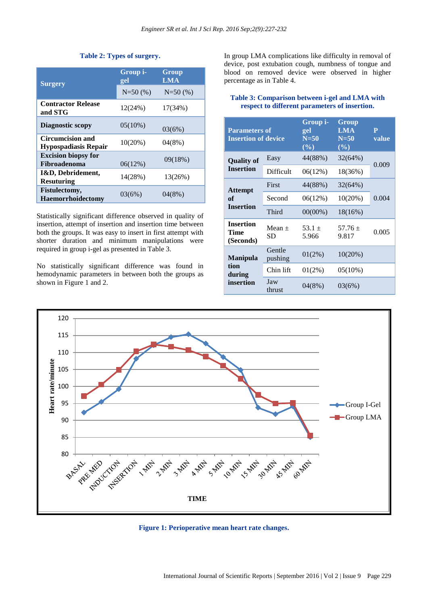| Table 2: Types of surgery. |  |  |
|----------------------------|--|--|
|----------------------------|--|--|

| <b>Surgery</b>                                         | Group i-<br>gel | Group<br><b>LMA</b> |
|--------------------------------------------------------|-----------------|---------------------|
|                                                        | $N=50(%)$       | $N=50(%)$           |
| <b>Contractor Release</b><br>and STG                   | 12(24%)         | 17(34%)             |
| Diagnostic scopy                                       | $05(10\%)$      | 03(6%)              |
| <b>Circumcision and</b><br><b>Hypospadiasis Repair</b> | $10(20\%)$      | 04(8%)              |
| <b>Excision biopsy for</b><br>Fibroadenoma             | 06(12%)         | 09(18%)             |
| I&D, Debridement,<br><b>Resuturing</b>                 | 14(28%)         | 13(26%)             |
| Fistulectomy,<br><b>Haemorrhoidectomy</b>              | 03(6%)          | 04(8%)              |

Statistically significant difference observed in quality of insertion, attempt of insertion and insertion time between both the groups. It was easy to insert in first attempt with shorter duration and minimum manipulations were required in group i-gel as presented in Table 3.

No statistically significant difference was found in hemodynamic parameters in between both the groups as shown in Figure 1 and 2.

In group LMA complications like difficulty in removal of device, post extubation cough, numbness of tongue and blood on removed device were observed in higher percentage as in Table 4.

## **Table 3: Comparison between i-gel and LMA with respect to different parameters of insertion.**

| <b>Parameters of</b><br><b>Insertion of device</b> |                   | Group i-<br>gel<br>$N = 50$<br>$(\%)$ | Group<br><b>LMA</b><br>$N = 50$<br>$(\%)$ | $\overline{\mathbf{P}}$<br>value |
|----------------------------------------------------|-------------------|---------------------------------------|-------------------------------------------|----------------------------------|
| <b>Quality of</b><br><b>Insertion</b>              | Easy              | 44(88%)                               | 32(64%)                                   | 0.009                            |
|                                                    | Difficult         | 06(12%)                               | 18(36%)                                   |                                  |
| <b>Attempt</b><br>of<br><b>Insertion</b>           | First             | 44(88%)                               | 32(64%)                                   |                                  |
|                                                    | Second            | 06(12%)                               | 10(20%)                                   | 0.004                            |
|                                                    | Third             | $00(00\%)$                            | 18(16%)                                   |                                  |
| <b>Insertion</b><br>Time<br>(Seconds)              | Mean $+$<br>SD    | $53.1 +$<br>5.966                     | $57.76 +$<br>9.817                        | 0.005                            |
| <b>Manipula</b><br>tion<br>during<br>insertion     | Gentle<br>pushing | 01(2%)                                | 10(20%)                                   |                                  |
|                                                    | Chin lift         | 01(2%)                                | 05(10%)                                   |                                  |
|                                                    | Jaw<br>thrust     | 04(8%)                                | 03(6%)                                    |                                  |



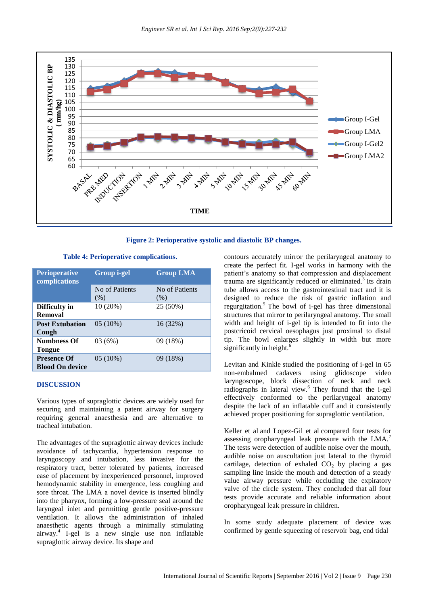

**Figure 2: Perioperative systolic and diastolic BP changes.**

**Table 4: Perioperative complications.**

| <b>Perioperative</b><br>complications        | <b>Group i-gel</b> | <b>Group LMA</b> |
|----------------------------------------------|--------------------|------------------|
|                                              | No of Patients     | No of Patients   |
|                                              | (% )               | (% )             |
| Difficulty in<br>Removal                     | 10 (20%)           | 25 (50%)         |
| <b>Post Extubation</b>                       | $05(10\%)$         | 16 (32%)         |
| Cough                                        |                    |                  |
| <b>Numbness Of</b><br><b>Tongue</b>          | 03(6%)             | 09(18%)          |
| <b>Presence Of</b><br><b>Blood On device</b> | $05(10\%)$         | 09 (18%)         |

#### **DISCUSSION**

Various types of supraglottic devices are widely used for securing and maintaining a patent airway for surgery requiring general anaesthesia and are alternative to tracheal intubation.

The advantages of the supraglottic airway devices include avoidance of tachycardia, hypertension response to laryngoscopy and intubation, less invasive for the respiratory tract, better tolerated by patients, increased ease of placement by inexperienced personnel, improved hemodynamic stability in emergence, less coughing and sore throat. The LMA a novel device is inserted blindly into the pharynx, forming a low-pressure seal around the laryngeal inlet and permitting gentle positive-pressure ventilation. It allows the administration of inhaled anaesthetic agents through a minimally stimulating airway.<sup>4</sup> I-gel is a new single use non inflatable supraglottic airway device. Its shape and

contours accurately mirror the perilaryngeal anatomy to create the perfect fit. I-gel works in harmony with the patient's anatomy so that compression and displacement trauma are significantly reduced or eliminated. $3$  Its drain tube allows access to the gastrointestinal tract and it is designed to reduce the risk of gastric inflation and regurgitation.<sup>5</sup> The bowl of i-gel has three dimensional structures that mirror to perilaryngeal anatomy. The small width and height of i-gel tip is intended to fit into the postcricoid cervical oesophagus just proximal to distal tip. The bowl enlarges slightly in width but more significantly in height.<sup>6</sup>

Levitan and Kinkle studied the positioning of i-gel in 65 non-embalmed cadavers using glidoscope video laryngoscope, block dissection of neck and neck radiographs in lateral view.<sup>6</sup> They found that the i-gel effectively conformed to the perilaryngeal anatomy despite the lack of an inflatable cuff and it consistently achieved proper positioning for supraglottic ventilation.

Keller et al and Lopez-Gil et al compared four tests for assessing oropharyngeal leak pressure with the LMA. The tests were detection of audible noise over the mouth, audible noise on auscultation just lateral to the thyroid cartilage, detection of exhaled  $CO<sub>2</sub>$  by placing a gas sampling line inside the mouth and detection of a steady value airway pressure while occluding the expiratory valve of the circle system. They concluded that all four tests provide accurate and reliable information about oropharyngeal leak pressure in children.

In some study adequate placement of device was confirmed by gentle squeezing of reservoir bag, end tidal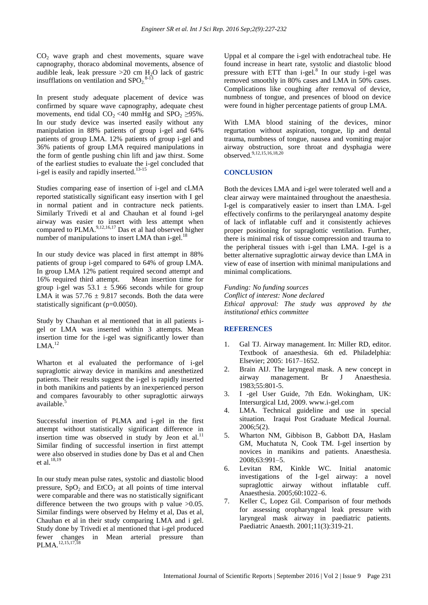CO<sup>2</sup> wave graph and chest movements, square wave capnography, thoraco abdominal movements, absence of audible leak, leak pressure  $>20$  cm H<sub>2</sub>O lack of gastric insufflations on ventilation and  $SPO<sub>2</sub><sup>8-13</sup>$ 

In present study adequate placement of device was confirmed by square wave capnography, adequate chest movements, end tidal  $CO_2$  <40 mmHg and SPO<sub>2</sub> ≥95%. In our study device was inserted easily without any manipulation in 88% patients of group i-gel and 64% patients of group LMA. 12% patients of group i-gel and 36% patients of group LMA required manipulations in the form of gentle pushing chin lift and jaw thirst. Some of the earliest studies to evaluate the i-gel concluded that i-gel is easily and rapidly inserted.<sup>13-15</sup>

Studies comparing ease of insertion of i-gel and cLMA reported statistically significant easy insertion with I gel in normal patient and in contracture neck patients. Similarly Trivedi et al and Chauhan et al found i-gel airway was easier to insert with less attempt when compared to  $PLMA$ ,  $^{9,12,16,17}$  Das et al had observed higher number of manipulations to insert LMA than  $i$ -gel.<sup>18</sup> i.

In our study device was placed in first attempt in 88% patients of group i-gel compared to 64% of group LMA. In group LMA 12% patient required second attempt and 16% required third attempt. Mean insertion time for group i-gel was  $53.1 \pm 5.966$  seconds while for group LMA it was  $57.76 \pm 9.817$  seconds. Both the data were statistically significant (p=0.0050).

Study by Chauhan et al mentioned that in all patients igel or LMA was inserted within 3 attempts. Mean insertion time for the i-gel was significantly lower than  $LMA.<sup>12</sup>$ 

Wharton et al evaluated the performance of i-gel supraglottic airway device in manikins and anesthetized patients. Their results suggest the i-gel is rapidly inserted in both manikins and patients by an inexperienced person and compares favourably to other supraglottic airways available.<sup>5</sup>

Successful insertion of PLMA and i-gel in the first attempt without statistically significant difference in insertion time was observed in study by Jeon et al.<sup>11</sup> Similar finding of successful insertion in first attempt were also observed in studies done by Das et al and Chen et al.<sup>18,19</sup>

In our study mean pulse rates, systolic and diastolic blood pressure,  $SpO<sub>2</sub>$  and  $EtCO<sub>2</sub>$  at all points of time interval were comparable and there was no statistically significant difference between the two groups with p value  $>0.05$ . Similar findings were observed by Helmy et al, Das et al, Chauhan et al in their study comparing LMA and i gel. Study done by Trivedi et al mentioned that i-gel produced fewer changes in Mean arterial pressure than PLMA.<sup>12,15,17,18</sup>

Uppal et al compare the i-gel with endotracheal tube. He found increase in heart rate, systolic and diastolic blood pressure with ETT than  $i$ -gel.<sup>8</sup> In our study  $i$ -gel was removed smoothly in 80% cases and LMA in 50% cases. Complications like coughing after removal of device, numbness of tongue, and presences of blood on device were found in higher percentage patients of group LMA.

With LMA blood staining of the devices, minor regurtation without aspiration, tongue, lip and dental trauma, numbness of tongue, nausea and vomiting major airway obstruction, sore throat and dysphagia were observed.<sup>9,12,15,16,18,20</sup>

## **CONCLUSION**

Both the devices LMA and i-gel were tolerated well and a clear airway were maintained throughout the anaesthesia. I-gel is comparatively easier to insert than LMA. I-gel effectively confirms to the perilaryngeal anatomy despite of lack of inflatable cuff and it consistently achieves proper positioning for supraglottic ventilation. Further, there is minimal risk of tissue compression and trauma to the peripheral tissues with i-gel than LMA. I-gel is a better alternative supraglottic airway device than LMA in view of ease of insertion with minimal manipulations and minimal complications.

#### *Funding: No funding sources*

*Conflict of interest: None declared Ethical approval: The study was approved by the institutional ethics committee*

#### **REFERENCES**

- 1. Gal TJ. Airway management. In: Miller RD, editor. Textbook of anaesthesia. 6th ed. Philadelphia: Elsevier; 2005: 1617–1652.
- 2. Brain AIJ. The laryngeal mask. A new concept in airway management. Br J Anaesthesia. 1983;55:801-5.
- 3. I -gel User Guide, 7th Edn. Wokingham, UK: Intersurgical Ltd, 2009. www.i-gel.com
- 4. LMA. Technical guideline and use in special situation. Iraqui Post Graduate Medical Journal. 2006;5(2).
- 5. Wharton NM, Gibbison B, Gabbott DA, Haslam GM, Muchatuta N, Cook TM. I-gel insertion by novices in manikins and patients. Anaesthesia. 2008;63:991–5.
- 6. Levitan RM, Kinkle WC. Initial anatomic investigations of the I-gel airway: a novel supraglottic airway without inflatable cuff. Anaesthesia. 2005;60:1022–6.
- 7. Keller C, Lopez Gil. Comparison of four methods for assessing oropharyngeal leak pressure with laryngeal mask airway in paediatric patients. Paediatric Anaesth. 2001;11(3):319-21.